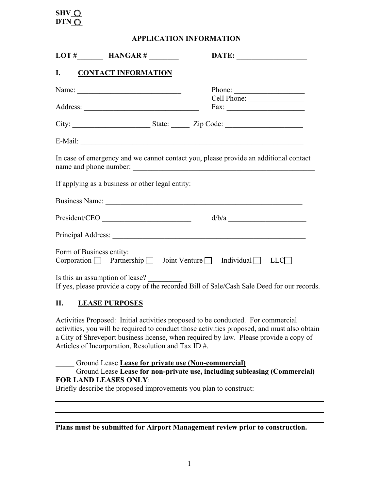# SHV  $\bigcirc$ **DTN\_Q**

 **APPLICATION INFORMATION** 

|                          |                                                          |                                                                                                                          | DATE:                                                                                |
|--------------------------|----------------------------------------------------------|--------------------------------------------------------------------------------------------------------------------------|--------------------------------------------------------------------------------------|
|                          | I. CONTACT INFORMATION                                   |                                                                                                                          |                                                                                      |
|                          | Name: $\frac{1}{\sqrt{1-\frac{1}{2}} \cdot \frac{1}{2}}$ |                                                                                                                          | Phone:                                                                               |
|                          |                                                          |                                                                                                                          |                                                                                      |
|                          |                                                          |                                                                                                                          |                                                                                      |
|                          |                                                          |                                                                                                                          |                                                                                      |
|                          | name and phone number:                                   |                                                                                                                          | In case of emergency and we cannot contact you, please provide an additional contact |
|                          | If applying as a business or other legal entity:         |                                                                                                                          |                                                                                      |
|                          |                                                          |                                                                                                                          |                                                                                      |
|                          | President/CEO                                            |                                                                                                                          | d/b/a                                                                                |
|                          |                                                          |                                                                                                                          |                                                                                      |
| Form of Business entity: | $Corporation$ Partnership Joint Venture Individual LLC   |                                                                                                                          |                                                                                      |
|                          | Is this an assumption of lease?                          | <u> Times and the second second and the second second second second second second second second second second second</u> |                                                                                      |

If yes, please provide a copy of the recorded Bill of Sale/Cash Sale Deed for our records.

### **II. LEASE PURPOSES**

Activities Proposed: Initial activities proposed to be conducted. For commercial activities, you will be required to conduct those activities proposed, and must also obtain a City of Shreveport business license, when required by law. Please provide a copy of Articles of Incorporation, Resolution and Tax ID #.

\_\_\_\_\_ Ground Lease **Lease for private use (Non-commercial)** 

#### \_\_\_\_\_ Ground Lease **Lease for non-private use, including subleasing (Commercial) FOR LAND LEASES ONLY**:

Briefly describe the proposed improvements you plan to construct:

#### **Plans must be submitted for Airport Management review prior to construction.**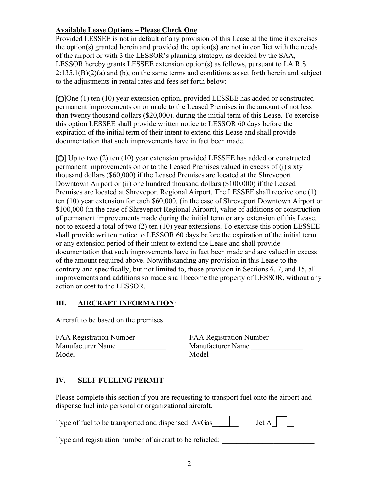### **Available Lease Options – Please Check One**

Provided LESSEE is not in default of any provision of this Lease at the time it exercises the option(s) granted herein and provided the option(s) are not in conflict with the needs of the airport or with 3 the LESSOR's planning strategy, as decided by the SAA, LESSOR hereby grants LESSEE extension option(s) as follows, pursuant to LA R.S.  $2:135.1(B)(2)(a)$  and (b), on the same terms and conditions as set forth herein and subject to the adjustments in rental rates and fees set forth below:

[O]One (1) ten (10) year extension option, provided LESSEE has added or constructed permanent improvements on or made to the Leased Premises in the amount of not less than twenty thousand dollars (\$20,000), during the initial term of this Lease. To exercise this option LESSEE shall provide written notice to LESSOR 60 days before the expiration of the initial term of their intent to extend this Lease and shall provide documentation that such improvements have in fact been made.

[O] Up to two (2) ten (10) year extension provided LESSEE has added or constructed permanent improvements on or to the Leased Premises valued in excess of (i) sixty thousand dollars (\$60,000) if the Leased Premises are located at the Shreveport Downtown Airport or (ii) one hundred thousand dollars (\$100,000) if the Leased Premises are located at Shreveport Regional Airport. The LESSEE shall receive one (1) ten (10) year extension for each \$60,000, (in the case of Shreveport Downtown Airport or \$100,000 (in the case of Shreveport Regional Airport), value of additions or construction of permanent improvements made during the initial term or any extension of this Lease, not to exceed a total of two (2) ten (10) year extensions. To exercise this option LESSEE shall provide written notice to LESSOR 60 days before the expiration of the initial term or any extension period of their intent to extend the Lease and shall provide documentation that such improvements have in fact been made and are valued in excess of the amount required above. Notwithstanding any provision in this Lease to the contrary and specifically, but not limited to, those provision in Sections 6, 7, and 15, all improvements and additions so made shall become the property of LESSOR, without any action or cost to the LESSOR.

### **III. AIRCRAFT INFORMATION**:

Aircraft to be based on the premises

| <b>FAA Registration Number</b> | <b>FAA Registration Number</b> |
|--------------------------------|--------------------------------|
| Manufacturer Name              | Manufacturer Name              |
| Model                          | Model                          |

| <b>FAA Registration Number</b> | <b>FAA Registration Number</b> |
|--------------------------------|--------------------------------|
| Manufacturer Name              | Manufacturer Name              |
| Model                          | Model                          |

## **IV. SELF FUELING PERMIT**

Please complete this section if you are requesting to transport fuel onto the airport and dispense fuel into personal or organizational aircraft.

| Type of fuel to be transported and dispensed: $AvGas$ $\Box$ Jet $A \Box$ |  |
|---------------------------------------------------------------------------|--|
|---------------------------------------------------------------------------|--|

Type and registration number of aircraft to be refueled: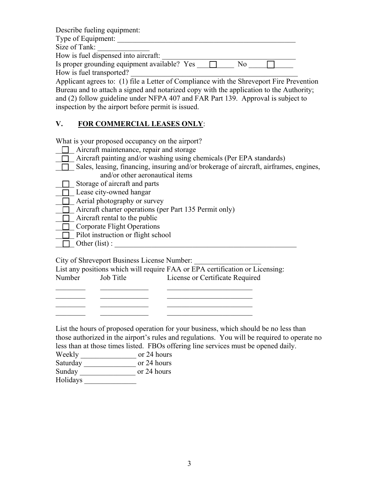Describe fueling equipment: Type of Equipment: Size of Tank: How is fuel dispensed into aircraft: Is proper grounding equipment available? Yes  $\Box$  No  $\Box$ How is fuel transported?

Applicant agrees to: (1) file a Letter of Compliance with the Shreveport Fire Prevention Bureau and to attach a signed and notarized copy with the application to the Authority; and (2) follow guideline under NFPA 407 and FAR Part 139. Approval is subject to inspection by the airport before permit is issued.

## **V. FOR COMMERCIAL LEASES ONLY**:

What is your proposed occupancy on the airport?

- **T** Aircraft maintenance, repair and storage
- $\Box$  Aircraft painting and/or washing using chemicals (Per EPA standards)
- \_\_\_\_\_ Sales, leasing, financing, insuring and/or brokerage of aircraft, airframes, engines, and/or other aeronautical items

 $\Box$  Storage of aircraft and parts

- $\Box$  Lease city-owned hangar
- $\Box$  Aerial photography or survey
- $\Box$  Aircraft charter operations (per Part 135 Permit only)
- $\Box$  Aircraft rental to the public
- $\Box$  Corporate Flight Operations
- $\Box$  Pilot instruction or flight school
- $\Box$  Other (list) :

City of Shreveport Business License Number:

|        |           | List any positions which will require FAA or EPA certification or Licensing: |
|--------|-----------|------------------------------------------------------------------------------|
| Number | Job Title | License or Certificate Required                                              |

\_\_\_\_\_\_\_\_ \_\_\_\_\_\_\_\_\_\_\_\_\_ \_\_\_\_\_\_\_\_\_\_\_\_\_\_\_\_\_\_\_\_\_\_\_

List the hours of proposed operation for your business, which should be no less than those authorized in the airport's rules and regulations. You will be required to operate no less than at those times listed. FBOs offering line services must be opened daily.

 $\frac{1}{\sqrt{2}}$ 

| Weekly | or 24 hours |
|--------|-------------|
|        |             |

| Saturday | or 24 hours |
|----------|-------------|
|          |             |

Sunday \_\_\_\_\_\_\_\_\_\_\_\_\_\_\_\_\_\_\_\_\_ or 24 hours

Holidays \_\_\_\_\_\_\_\_\_\_\_\_\_\_